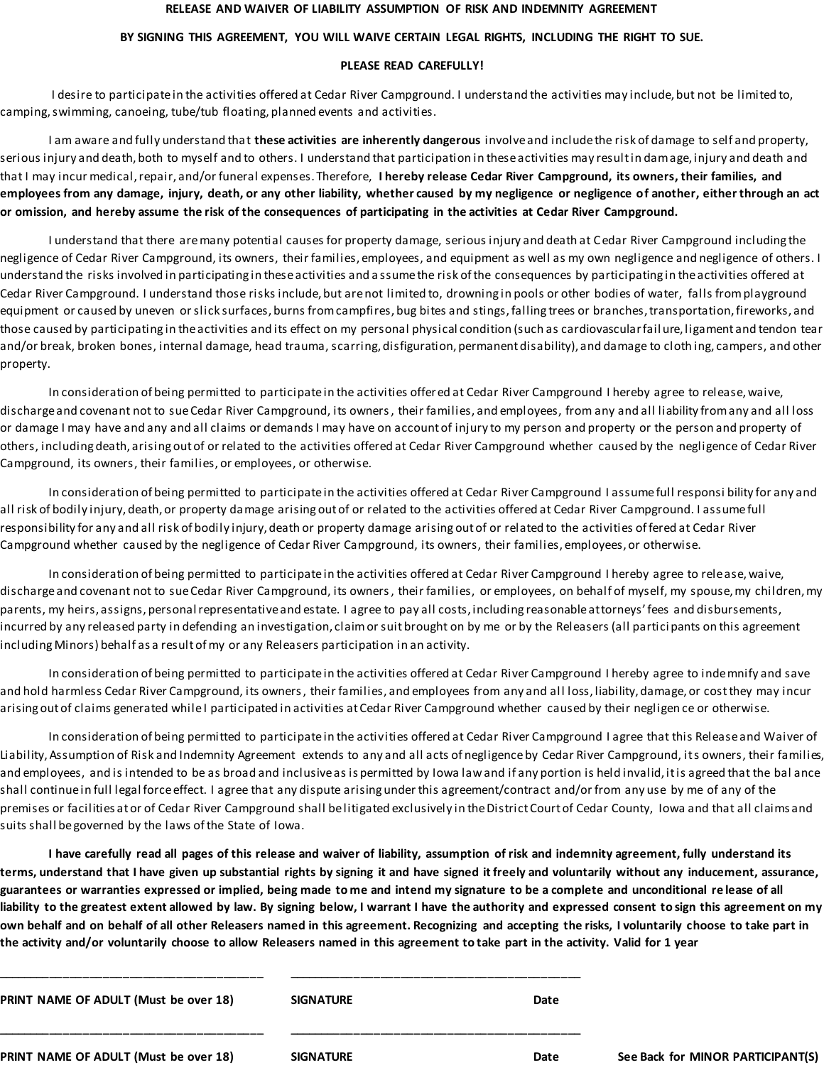## **RELEASE AND WAIVER OF LIABILITY ASSUMPTION OF RISK AND INDEMNITY AGREEMENT**

## **BY SIGNING THIS AGREEMENT, YOU WILL WAIVE CERTAIN LEGAL RIGHTS, INCLUDING THE RIGHT TO SUE.**

## **PLEASE READ CAREFULLY!**

I desire to participate in the activities offered at Cedar River Campground. I understand the activities may include, but not be limited to, camping, swimming, canoeing, tube/tub floating, planned events and activities.

I am aware and fully understand that **these activities are inherently dangerous** involve and include the risk of damage to self and property, serious injury and death, both to myself and to others. I understand that participation in these activities may result in damage, injury and death and that I may incur medical, repair, and/or funeral expenses. Therefore, **I hereby release Cedar River Campground, its owners, their families, and employees from any damage, injury, death, or any other liability, whether caused by my negligence or negligence of another, either through an act or omission, and hereby assume the risk of the consequences of participating in the activities at Cedar River Campground.**

I understand that there are many potential causes for property damage, serious injury and death at Cedar River Campground including the negligence of Cedar River Campground, its owners, their families, employees, and equipment as well as my own negligence and negligence of others. I understand the risks involved in participating in these activities and a ssume the risk of the consequences by participating in the activities offered at Cedar River Campground. I understand those risks include, but are not limited to, drowning in pools or other bodies of water, falls from playground equipment or caused by uneven or slick surfaces, burns from campfires, bug bites and stings, falling trees or branches, transportation, fireworks, and those caused by participating in the activities and its effect on my personal physical condition (such as cardiovascular fail ure, ligament and tendon tear and/or break, broken bones, internal damage, head trauma, scarring, disfiguration, permanent disability), and damage to cloth ing, campers, and other property.

In consideration of being permitted to participate in the activities offered at Cedar River Campground I hereby agree to release, waive, discharge and covenant not to sue Cedar River Campground, its owners, their families, and employees, from any and all liability from any and all loss or damage I may have and any and all claims or demands I may have on account of injury to my person and property or the person and property of others, including death, arising out of or related to the activities offered at Cedar River Campground whether caused by the negligence of Cedar River Campground, its owners, their families, or employees, or otherwise.

In consideration of being permitted to participate in the activities offered at Cedar River Campground I assume full responsi bility for any and all risk of bodily injury, death, or property damage arising out of or related to the activities offered at Cedar River Campground. I assume full responsibility for any and all risk of bodily injury, death or property damage arising out of or related to the activities offered at Cedar River Campground whether caused by the negligence of Cedar River Campground, its owners, their families, employees, or otherwise.

In consideration of being permitted to participate in the activities offered at Cedar River Campground I hereby agree to release, waive, discharge and covenant not to sue Cedar River Campground, its owners, their families, or employees, on behalf of myself, my spouse, my children, my parents, my heirs, assigns, personal representative and estate. I agree to pay all costs, including reasonable attorneys' fees and disbursements, incurred by any released party in defending an investigation, claim or suit brought on by me or by the Releasers (all partici pants on this agreement including Minors) behalf as a result of my or any Releasers participation in an activity.

In consideration of being permitted to participate in the activities offered at Cedar River Campground I hereby agree to indemnify and save and hold harmless Cedar River Campground, its owners, their families, and employees from any and al l loss, liability, damage, or cost they may incur arising out of claims generated while I participated in activities at Cedar River Campground whether caused by their negligen ce or otherwise.

In consideration of being permitted to participate in the activities offered at Cedar River Campground I agree that this Release and Waiver of Liability, Assumption of Risk and Indemnity Agreement extends to any and all acts of negligence by Cedar River Campground, its owners, their families, and employees, and is intended to be as broad and inclusive as is permitted by Iowa law and if any portion is held invalid, it is agreed that the bal ance shall continue in full legal force effect. I agree that any dispute arising under this agreement/contract and/or from any use by me of any of the premises or facilities at or of Cedar River Campground shall be litigated exclusively in the District Court of Cedar County, Iowa and that all claims and suits shall be governed by the laws of the State of Iowa.

**I have carefully read all pages of this release and waiver of liability, assumption of risk and indemnity agreement, fully understand its terms, understand that I have given up substantial rights by signing it and have signed it freely and voluntarily without any inducement, assurance, guarantees or warranties expressed or implied, being made to me and intend my signature to be a complete and unconditional re lease of all liability to the greatest extent allowed by law. By signing below, I warrant I have the authority and expressed consent to sign this agreement on my own behalf and on behalf of all other Releasers named in this agreement. Recognizing and accepting the risks, I voluntarily choose to take part in the activity and/or voluntarily choose to allow Releasers named in this agreement to take part in the activity. Valid for 1 year**

| PRINT NAME OF ADULT (Must be over 18) | <b>SIGNATURE</b> | Date |
|---------------------------------------|------------------|------|
| PRINT NAME OF ADULT (Must be over 18) | <b>SIGNATURE</b> | Date |

\_\_\_\_\_\_\_\_\_\_\_\_\_\_\_\_\_\_\_\_\_\_\_\_\_\_\_\_\_\_\_\_\_\_\_\_\_\_\_\_ \_\_\_\_\_\_\_\_\_\_\_\_\_\_\_\_\_\_\_\_\_\_\_\_\_\_\_\_\_\_\_\_\_\_\_\_\_\_\_\_\_\_\_\_

**See Back for MINOR PARTICIPANT(S)**